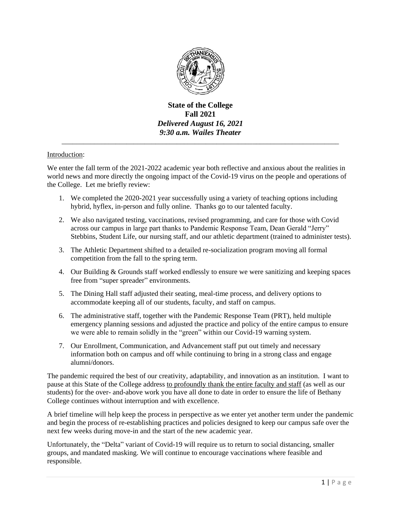

**State of the College Fall 2021** *Delivered August 16, 2021 9:30 a.m. Wailes Theater*

\_\_\_\_\_\_\_\_\_\_\_\_\_\_\_\_\_\_\_\_\_\_\_\_\_\_\_\_\_\_\_\_\_\_\_\_\_\_\_\_\_\_\_\_\_\_\_\_\_\_\_\_\_\_\_\_\_\_\_\_\_\_\_\_\_\_\_\_\_\_\_\_\_\_\_\_\_

## Introduction:

We enter the fall term of the 2021-2022 academic year both reflective and anxious about the realities in world news and more directly the ongoing impact of the Covid-19 virus on the people and operations of the College. Let me briefly review:

- 1. We completed the 2020-2021 year successfully using a variety of teaching options including hybrid, hyflex, in-person and fully online. Thanks go to our talented faculty.
- 2. We also navigated testing, vaccinations, revised programming, and care for those with Covid across our campus in large part thanks to Pandemic Response Team, Dean Gerald "Jerry" Stebbins, Student Life, our nursing staff, and our athletic department (trained to administer tests).
- 3. The Athletic Department shifted to a detailed re-socialization program moving all formal competition from the fall to the spring term.
- 4. Our Building & Grounds staff worked endlessly to ensure we were sanitizing and keeping spaces free from "super spreader" environments.
- 5. The Dining Hall staff adjusted their seating, meal-time process, and delivery options to accommodate keeping all of our students, faculty, and staff on campus.
- 6. The administrative staff, together with the Pandemic Response Team (PRT), held multiple emergency planning sessions and adjusted the practice and policy of the entire campus to ensure we were able to remain solidly in the "green" within our Covid-19 warning system.
- 7. Our Enrollment, Communication, and Advancement staff put out timely and necessary information both on campus and off while continuing to bring in a strong class and engage alumni/donors.

The pandemic required the best of our creativity, adaptability, and innovation as an institution. I want to pause at this State of the College address to profoundly thank the entire faculty and staff (as well as our students) for the over- and-above work you have all done to date in order to ensure the life of Bethany College continues without interruption and with excellence.

A brief timeline will help keep the process in perspective as we enter yet another term under the pandemic and begin the process of re-establishing practices and policies designed to keep our campus safe over the next few weeks during move-in and the start of the new academic year.

Unfortunately, the "Delta" variant of Covid-19 will require us to return to social distancing, smaller groups, and mandated masking. We will continue to encourage vaccinations where feasible and responsible.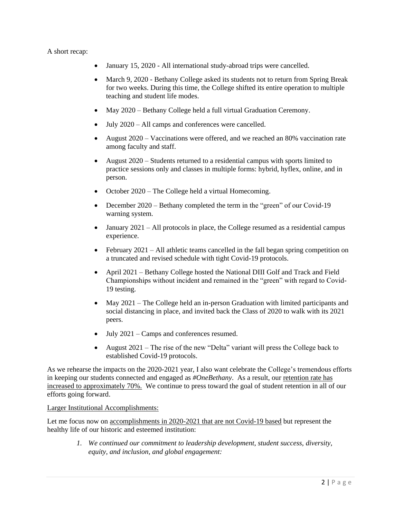#### A short recap:

- January 15, 2020 All international study-abroad trips were cancelled.
- March 9, 2020 Bethany College asked its students not to return from Spring Break for two weeks. During this time, the College shifted its entire operation to multiple teaching and student life modes.
- May 2020 Bethany College held a full virtual Graduation Ceremony.
- July 2020 All camps and conferences were cancelled.
- August 2020 Vaccinations were offered, and we reached an 80% vaccination rate among faculty and staff.
- August 2020 Students returned to a residential campus with sports limited to practice sessions only and classes in multiple forms: hybrid, hyflex, online, and in person.
- October 2020 The College held a virtual Homecoming.
- December 2020 Bethany completed the term in the "green" of our Covid-19 warning system.
- $\bullet$  January 2021 All protocols in place, the College resumed as a residential campus experience.
- February 2021 All athletic teams cancelled in the fall began spring competition on a truncated and revised schedule with tight Covid-19 protocols.
- April 2021 Bethany College hosted the National DIII Golf and Track and Field Championships without incident and remained in the "green" with regard to Covid-19 testing.
- May 2021 The College held an in-person Graduation with limited participants and social distancing in place, and invited back the Class of 2020 to walk with its 2021 peers.
- July 2021 Camps and conferences resumed.
- August  $2021$  The rise of the new "Delta" variant will press the College back to established Covid-19 protocols.

As we rehearse the impacts on the 2020-2021 year, I also want celebrate the College's tremendous efforts in keeping our students connected and engaged as *#OneBethany*. As a result, our retention rate has increased to approximately 70%. We continue to press toward the goal of student retention in all of our efforts going forward.

## Larger Institutional Accomplishments:

Let me focus now on accomplishments in 2020-2021 that are not Covid-19 based but represent the healthy life of our historic and esteemed institution:

> *1. We continued our commitment to leadership development, student success, diversity, equity, and inclusion, and global engagement:*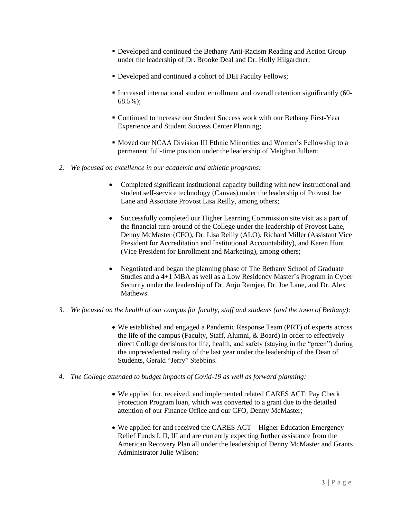- Developed and continued the Bethany Anti-Racism Reading and Action Group under the leadership of Dr. Brooke Deal and Dr. Holly Hilgardner;
- Developed and continued a cohort of DEI Faculty Fellows;
- Increased international student enrollment and overall retention significantly (60- 68.5%);
- Continued to increase our Student Success work with our Bethany First-Year Experience and Student Success Center Planning;
- Moved our NCAA Division III Ethnic Minorities and Women's Fellowship to a permanent full-time position under the leadership of Meighan Julbert;
- *2. We focused on excellence in our academic and athletic programs:* 
	- Completed significant institutional capacity building with new instructional and student self-service technology (Canvas) under the leadership of Provost Joe Lane and Associate Provost Lisa Reilly, among others;
	- Successfully completed our Higher Learning Commission site visit as a part of the financial turn-around of the College under the leadership of Provost Lane, Denny McMaster (CFO), Dr. Lisa Reilly (ALO), Richard Miller (Assistant Vice President for Accreditation and Institutional Accountability), and Karen Hunt (Vice President for Enrollment and Marketing), among others;
	- Negotiated and began the planning phase of The Bethany School of Graduate Studies and a 4+1 MBA as well as a Low Residency Master's Program in Cyber Security under the leadership of Dr. Anju Ramjee, Dr. Joe Lane, and Dr. Alex Mathews.
- *3. We focused on the health of our campus for faculty, staff and students (and the town of Bethany):* 
	- We established and engaged a Pandemic Response Team (PRT) of experts across the life of the campus (Faculty, Staff, Alumni, & Board) in order to effectively direct College decisions for life, health, and safety (staying in the "green") during the unprecedented reality of the last year under the leadership of the Dean of Students, Gerald "Jerry" Stebbins.
- *4. The College attended to budget impacts of Covid-19 as well as forward planning:*
	- We applied for, received, and implemented related CARES ACT: Pay Check Protection Program loan, which was converted to a grant due to the detailed attention of our Finance Office and our CFO, Denny McMaster;
	- We applied for and received the CARES ACT Higher Education Emergency Relief Funds I, II, III and are currently expecting further assistance from the American Recovery Plan all under the leadership of Denny McMaster and Grants Administrator Julie Wilson;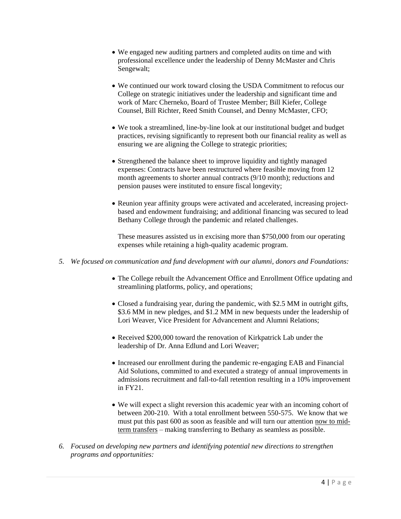- We engaged new auditing partners and completed audits on time and with professional excellence under the leadership of Denny McMaster and Chris Sengewalt;
- We continued our work toward closing the USDA Commitment to refocus our College on strategic initiatives under the leadership and significant time and work of Marc Cherneko, Board of Trustee Member; Bill Kiefer, College Counsel, Bill Richter, Reed Smith Counsel, and Denny McMaster, CFO;
- We took a streamlined, line-by-line look at our institutional budget and budget practices, revising significantly to represent both our financial reality as well as ensuring we are aligning the College to strategic priorities;
- Strengthened the balance sheet to improve liquidity and tightly managed expenses: Contracts have been restructured where feasible moving from 12 month agreements to shorter annual contracts (9/10 month); reductions and pension pauses were instituted to ensure fiscal longevity;
- Reunion year affinity groups were activated and accelerated, increasing projectbased and endowment fundraising; and additional financing was secured to lead Bethany College through the pandemic and related challenges.

These measures assisted us in excising more than \$750,000 from our operating expenses while retaining a high-quality academic program.

- *5. We focused on communication and fund development with our alumni, donors and Foundations:*
	- The College rebuilt the Advancement Office and Enrollment Office updating and streamlining platforms, policy, and operations;
	- Closed a fundraising year, during the pandemic, with \$2.5 MM in outright gifts, \$3.6 MM in new pledges, and \$1.2 MM in new bequests under the leadership of Lori Weaver, Vice President for Advancement and Alumni Relations;
	- Received \$200,000 toward the renovation of Kirkpatrick Lab under the leadership of Dr. Anna Edlund and Lori Weaver;
	- Increased our enrollment during the pandemic re-engaging EAB and Financial Aid Solutions, committed to and executed a strategy of annual improvements in admissions recruitment and fall-to-fall retention resulting in a 10% improvement in FY21.
	- We will expect a slight reversion this academic year with an incoming cohort of between 200-210. With a total enrollment between 550-575. We know that we must put this past 600 as soon as feasible and will turn our attention now to midterm transfers – making transferring to Bethany as seamless as possible.
- *6. Focused on developing new partners and identifying potential new directions to strengthen programs and opportunities:*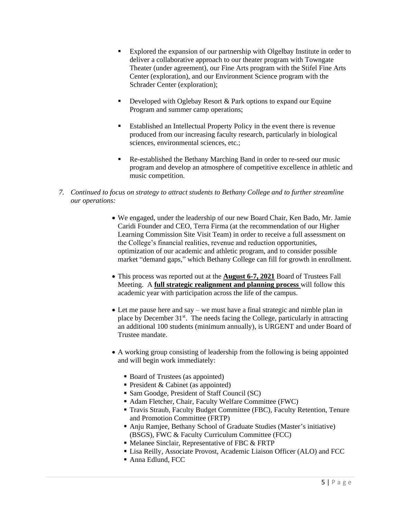- Explored the expansion of our partnership with Olgelbay Institute in order to deliver a collaborative approach to our theater program with Towngate Theater (under agreement), our Fine Arts program with the Stifel Fine Arts Center (exploration), and our Environment Science program with the Schrader Center (exploration);
- Developed with Oglebay Resort & Park options to expand our Equine Program and summer camp operations;
- Established an Intellectual Property Policy in the event there is revenue produced from our increasing faculty research, particularly in biological sciences, environmental sciences, etc.;
- Re-established the Bethany Marching Band in order to re-seed our music program and develop an atmosphere of competitive excellence in athletic and music competition.
- *7. Continued to focus on strategy to attract students to Bethany College and to further streamline our operations:*
	- We engaged, under the leadership of our new Board Chair, Ken Bado, Mr. Jamie Caridi Founder and CEO, Terra Firma (at the recommendation of our Higher Learning Commission Site Visit Team) in order to receive a full assessment on the College's financial realities, revenue and reduction opportunities, optimization of our academic and athletic program, and to consider possible market "demand gaps," which Bethany College can fill for growth in enrollment.
	- This process was reported out at the **August 6-7, 2021** Board of Trustees Fall Meeting. A **full strategic realignment and planning process** will follow this academic year with participation across the life of the campus.
	- Let me pause here and say we must have a final strategic and nimble plan in place by December  $31<sup>st</sup>$ . The needs facing the College, particularly in attracting an additional 100 students (minimum annually), is URGENT and under Board of Trustee mandate.
	- A working group consisting of leadership from the following is being appointed and will begin work immediately:
		- Board of Trustees (as appointed)
		- President  $&$  Cabinet (as appointed)
		- Sam Goodge, President of Staff Council (SC)
		- Adam Fletcher, Chair, Faculty Welfare Committee (FWC)
		- Travis Straub, Faculty Budget Committee (FBC), Faculty Retention, Tenure and Promotion Committee (FRTP)
		- Anju Ramjee, Bethany School of Graduate Studies (Master's initiative) (BSGS), FWC & Faculty Curriculum Committee (FCC)
		- Melanee Sinclair, Representative of FBC & FRTP
		- Lisa Reilly, Associate Provost, Academic Liaison Officer (ALO) and FCC
		- Anna Edlund, FCC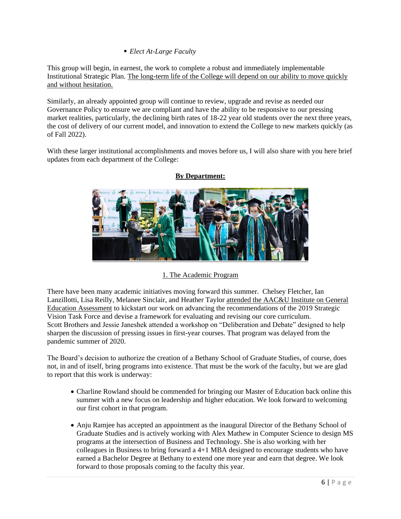*Elect At-Large Faculty* 

This group will begin, in earnest, the work to complete a robust and immediately implementable Institutional Strategic Plan. The long-term life of the College will depend on our ability to move quickly and without hesitation.

Similarly, an already appointed group will continue to review, upgrade and revise as needed our Governance Policy to ensure we are compliant and have the ability to be responsive to our pressing market realities, particularly, the declining birth rates of 18-22 year old students over the next three years, the cost of delivery of our current model, and innovation to extend the College to new markets quickly (as of Fall 2022).

With these larger institutional accomplishments and moves before us, I will also share with you here brief updates from each department of the College:



# **By Department:**

# 1. The Academic Program

There have been many academic initiatives moving forward this summer. Chelsey Fletcher, Ian Lanzillotti, Lisa Reilly, Melanee Sinclair, and Heather Taylor attended the AAC&U Institute on General Education Assessment to kickstart our work on advancing the recommendations of the 2019 Strategic Vision Task Force and devise a framework for evaluating and revising our core curriculum. Scott Brothers and Jessie Janeshek attended a workshop on "Deliberation and Debate" designed to help sharpen the discussion of pressing issues in first-year courses. That program was delayed from the pandemic summer of 2020.

The Board's decision to authorize the creation of a Bethany School of Graduate Studies, of course, does not, in and of itself, bring programs into existence. That must be the work of the faculty, but we are glad to report that this work is underway:

- Charline Rowland should be commended for bringing our Master of Education back online this summer with a new focus on leadership and higher education. We look forward to welcoming our first cohort in that program.
- Anju Ramjee has accepted an appointment as the inaugural Director of the Bethany School of Graduate Studies and is actively working with Alex Mathew in Computer Science to design MS programs at the intersection of Business and Technology. She is also working with her colleagues in Business to bring forward a 4+1 MBA designed to encourage students who have earned a Bachelor Degree at Bethany to extend one more year and earn that degree. We look forward to those proposals coming to the faculty this year.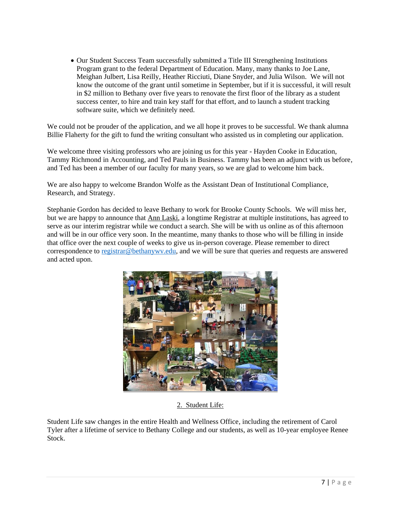Our Student Success Team successfully submitted a Title III Strengthening Institutions Program grant to the federal Department of Education. Many, many thanks to Joe Lane, Meighan Julbert, Lisa Reilly, Heather Ricciuti, Diane Snyder, and Julia Wilson. We will not know the outcome of the grant until sometime in September, but if it is successful, it will result in \$2 million to Bethany over five years to renovate the first floor of the library as a student success center, to hire and train key staff for that effort, and to launch a student tracking software suite, which we definitely need.

We could not be prouder of the application, and we all hope it proves to be successful. We thank alumna Billie Flaherty for the gift to fund the writing consultant who assisted us in completing our application.

We welcome three visiting professors who are joining us for this year - Hayden Cooke in Education, Tammy Richmond in Accounting, and Ted Pauls in Business. Tammy has been an adjunct with us before, and Ted has been a member of our faculty for many years, so we are glad to welcome him back.

We are also happy to welcome Brandon Wolfe as the Assistant Dean of Institutional Compliance, Research, and Strategy.

Stephanie Gordon has decided to leave Bethany to work for Brooke County Schools. We will miss her, but we are happy to announce that Ann Laski, a longtime Registrar at multiple institutions, has agreed to serve as our interim registrar while we conduct a search. She will be with us online as of this afternoon and will be in our office very soon. In the meantime, many thanks to those who will be filling in inside that office over the next couple of weeks to give us in-person coverage. Please remember to direct correspondence to [registrar@bethanywv.edu,](mailto:registrar@bethanywv.edu) and we will be sure that queries and requests are answered and acted upon.



2. Student Life:

Student Life saw changes in the entire Health and Wellness Office, including the retirement of Carol Tyler after a lifetime of service to Bethany College and our students, as well as 10-year employee Renee Stock.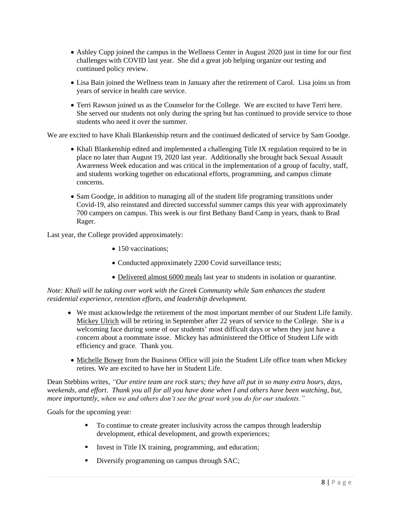- Ashley Cupp joined the campus in the Wellness Center in August 2020 just in time for our first challenges with COVID last year. She did a great job helping organize our testing and continued policy review.
- Lisa Bain joined the Wellness team in January after the retirement of Carol. Lisa joins us from years of service in health care service.
- Terri Rawson joined us as the Counselor for the College. We are excited to have Terri here. She served our students not only during the spring but has continued to provide service to those students who need it over the summer.

We are excited to have Khali Blankenship return and the continued dedicated of service by Sam Goodge.

- Khali Blankenship edited and implemented a challenging Title IX regulation required to be in place no later than August 19, 2020 last year. Additionally she brought back Sexual Assault Awareness Week education and was critical in the implementation of a group of faculty, staff, and students working together on educational efforts, programming, and campus climate concerns.
- Sam Goodge, in addition to managing all of the student life programing transitions under Covid-19, also reinstated and directed successful summer camps this year with approximately 700 campers on campus. This week is our first Bethany Band Camp in years, thank to Brad Rager.

Last year, the College provided approximately:

- 150 vaccinations;
- Conducted approximately 2200 Covid surveillance tests;
- Delivered almost 6000 meals last year to students in isolation or quarantine.

*Note: Khali will be taking over work with the Greek Community while Sam enhances the student residential experience, retention efforts, and leadership development.*

- We must acknowledge the retirement of the most important member of our Student Life family. Mickey Ulrich will be retiring in September after 22 years of service to the College. She is a welcoming face during some of our students' most difficult days or when they just have a concern about a roommate issue. Mickey has administered the Office of Student Life with efficiency and grace. Thank you.
- Michelle Bower from the Business Office will join the Student Life office team when Mickey retires. We are excited to have her in Student Life.

Dean Stebbins writes, *"Our entire team are rock stars; they have all put in so many extra hours, days, weekends, and effort. Thank you all for all you have done when I and others have been watching, but, more importantly, when we and others don't see the great work you do for our students."*

Goals for the upcoming year:

- To continue to create greater inclusivity across the campus through leadership development, ethical development, and growth experiences;
- Invest in Title IX training, programming, and education;
- Diversify programming on campus through SAC;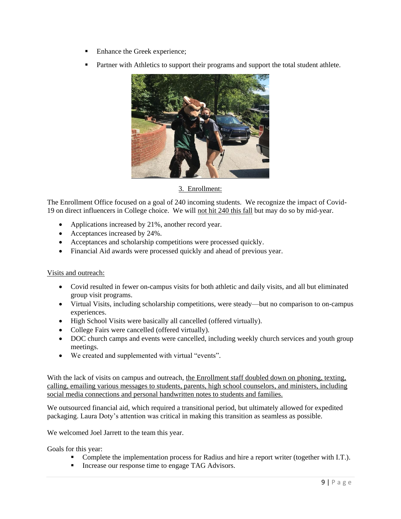- Enhance the Greek experience;
- Partner with Athletics to support their programs and support the total student athlete.



# 3. Enrollment:

The Enrollment Office focused on a goal of 240 incoming students. We recognize the impact of Covid-19 on direct influencers in College choice. We will not hit 240 this fall but may do so by mid-year.

- Applications increased by 21%, another record year.
- Acceptances increased by 24%.
- Acceptances and scholarship competitions were processed quickly.
- Financial Aid awards were processed quickly and ahead of previous year.

### Visits and outreach:

- Covid resulted in fewer on-campus visits for both athletic and daily visits, and all but eliminated group visit programs.
- Virtual Visits, including scholarship competitions, were steady—but no comparison to on-campus experiences.
- High School Visits were basically all cancelled (offered virtually).
- College Fairs were cancelled (offered virtually).
- DOC church camps and events were cancelled, including weekly church services and youth group meetings.
- We created and supplemented with virtual "events".

With the lack of visits on campus and outreach, the Enrollment staff doubled down on phoning, texting, calling, emailing various messages to students, parents, high school counselors, and ministers, including social media connections and personal handwritten notes to students and families.

We outsourced financial aid, which required a transitional period, but ultimately allowed for expedited packaging. Laura Doty's attention was critical in making this transition as seamless as possible.

We welcomed Joel Jarrett to the team this year.

Goals for this year:

- Complete the implementation process for Radius and hire a report writer (together with I.T.).
- Increase our response time to engage TAG Advisors.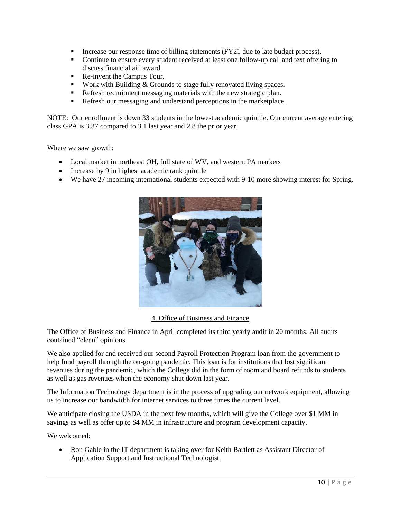- Increase our response time of billing statements (FY21 due to late budget process).
- Continue to ensure every student received at least one follow-up call and text offering to discuss financial aid award.
- Re-invent the Campus Tour.
- Work with Building  $&$  Grounds to stage fully renovated living spaces.
- Refresh recruitment messaging materials with the new strategic plan.
- Refresh our messaging and understand perceptions in the marketplace.

NOTE: Our enrollment is down 33 students in the lowest academic quintile. Our current average entering class GPA is 3.37 compared to 3.1 last year and 2.8 the prior year.

Where we saw growth:

- Local market in northeast OH, full state of WV, and western PA markets
- Increase by 9 in highest academic rank quintile
- We have 27 incoming international students expected with 9-10 more showing interest for Spring.



4. Office of Business and Finance

The Office of Business and Finance in April completed its third yearly audit in 20 months. All audits contained "clean" opinions.

We also applied for and received our second Payroll Protection Program loan from the government to help fund payroll through the on-going pandemic. This loan is for institutions that lost significant revenues during the pandemic, which the College did in the form of room and board refunds to students, as well as gas revenues when the economy shut down last year.

The Information Technology department is in the process of upgrading our network equipment, allowing us to increase our bandwidth for internet services to three times the current level.

We anticipate closing the USDA in the next few months, which will give the College over \$1 MM in savings as well as offer up to \$4 MM in infrastructure and program development capacity.

We welcomed:

• Ron Gable in the IT department is taking over for Keith Bartlett as Assistant Director of Application Support and Instructional Technologist.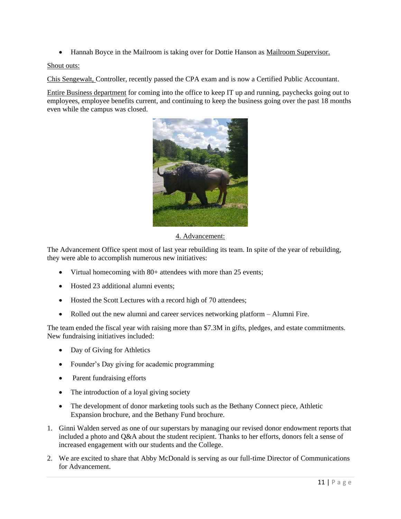• Hannah Boyce in the Mailroom is taking over for Dottie Hanson as Mailroom Supervisor.

## Shout outs:

Chis Sengewalt, Controller, recently passed the CPA exam and is now a Certified Public Accountant.

Entire Business department for coming into the office to keep IT up and running, paychecks going out to employees, employee benefits current, and continuing to keep the business going over the past 18 months even while the campus was closed.



4. Advancement:

The Advancement Office spent most of last year rebuilding its team. In spite of the year of rebuilding, they were able to accomplish numerous new initiatives:

- Virtual homecoming with 80+ attendees with more than 25 events;
- Hosted 23 additional alumni events:
- Hosted the Scott Lectures with a record high of 70 attendees;
- Rolled out the new alumni and career services networking platform Alumni Fire.

The team ended the fiscal year with raising more than \$7.3M in gifts, pledges, and estate commitments. New fundraising initiatives included:

- Day of Giving for Athletics
- Founder's Day giving for academic programming
- Parent fundraising efforts
- The introduction of a loyal giving society
- The development of donor marketing tools such as the Bethany Connect piece, Athletic Expansion brochure, and the Bethany Fund brochure.
- 1. Ginni Walden served as one of our superstars by managing our revised donor endowment reports that included a photo and Q&A about the student recipient. Thanks to her efforts, donors felt a sense of increased engagement with our students and the College.
- 2. We are excited to share that Abby McDonald is serving as our full-time Director of Communications for Advancement.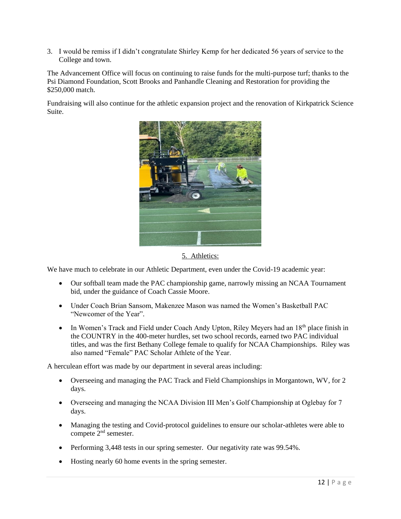3. I would be remiss if I didn't congratulate Shirley Kemp for her dedicated 56 years of service to the College and town.

The Advancement Office will focus on continuing to raise funds for the multi-purpose turf; thanks to the Psi Diamond Foundation, Scott Brooks and Panhandle Cleaning and Restoration for providing the \$250,000 match.

Fundraising will also continue for the athletic expansion project and the renovation of Kirkpatrick Science Suite.



5. Athletics:

We have much to celebrate in our Athletic Department, even under the Covid-19 academic year:

- Our softball team made the PAC championship game, narrowly missing an NCAA Tournament bid, under the guidance of Coach Cassie Moore.
- Under Coach Brian Sansom, Makenzee Mason was named the Women's Basketball PAC "Newcomer of the Year".
- In Women's Track and Field under Coach Andy Upton, Riley Meyers had an  $18<sup>th</sup>$  place finish in the COUNTRY in the 400-meter hurdles, set two school records, earned two PAC individual titles, and was the first Bethany College female to qualify for NCAA Championships. Riley was also named "Female" PAC Scholar Athlete of the Year.

A herculean effort was made by our department in several areas including:

- Overseeing and managing the PAC Track and Field Championships in Morgantown, WV, for 2 days.
- Overseeing and managing the NCAA Division III Men's Golf Championship at Oglebay for 7 days.
- Managing the testing and Covid-protocol guidelines to ensure our scholar-athletes were able to compete 2nd semester.
- Performing 3,448 tests in our spring semester. Our negativity rate was 99.54%.
- Hosting nearly 60 home events in the spring semester.